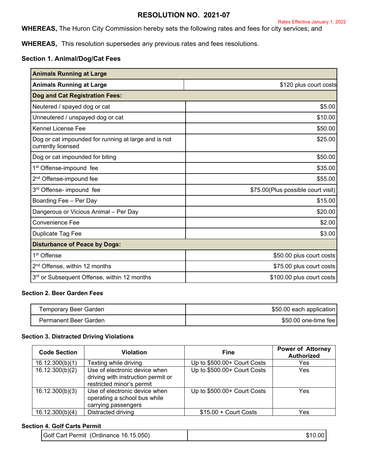## **RESOLUTION NO. 2021-07**

**WHEREAS,** The Huron City Commission hereby sets the following rates and fees for city services; and

**WHEREAS,** This resolution supersedes any previous rates and fees resolutions.

### **Section 1. Animal/Dog/Cat Fees**

| <b>Animals Running at Large</b>                                            |                                     |
|----------------------------------------------------------------------------|-------------------------------------|
| <b>Animals Running at Large</b>                                            | \$120 plus court costs              |
| Dog and Cat Registration Fees:                                             |                                     |
| Neutered / spayed dog or cat                                               | \$5.00                              |
| Unneutered / unspayed dog or cat                                           | \$10.00                             |
| <b>Kennel License Fee</b>                                                  | \$50.00                             |
| Dog or cat impounded for running at large and is not<br>currently licensed | \$25.00                             |
| Dog or cat impounded for biting                                            | \$50.00                             |
| 1 <sup>st</sup> Offense-impound fee                                        | \$35.00                             |
| 2 <sup>nd</sup> Offense-impound fee                                        | \$55.00                             |
| 3 <sup>rd</sup> Offense- impound fee                                       | \$75.00 (Plus possible court visit) |
| Boarding Fee - Per Day                                                     | \$15.00                             |
| Dangerous or Vicious Animal - Per Day                                      | \$20.00                             |
| Convenience Fee                                                            | \$2.00                              |
| Duplicate Tag Fee                                                          | \$3.00                              |
| <b>Disturbance of Peace by Dogs:</b>                                       |                                     |
| 1 <sup>st</sup> Offense                                                    | \$50.00 plus court costs            |
| 2 <sup>nd</sup> Offense, within 12 months                                  | \$75.00 plus court costs            |
| 3 <sup>rd</sup> or Subsequent Offense, within 12 months                    | \$100.00 plus court costs           |

### **Section 2. Beer Garden Fees**

| Temporary Beer Garden | \$50.00 each application |
|-----------------------|--------------------------|
| Permanent Beer Garden | \$50.00 one-time fee l   |

### **Section 3. Distracted Driving Violations**

| <b>Code Section</b> | Violation                                                                                        | Fine                        | <b>Power of Attorney</b><br><b>Authorized</b> |
|---------------------|--------------------------------------------------------------------------------------------------|-----------------------------|-----------------------------------------------|
| 16.12.300(b)(1)     | Texting while driving                                                                            | Up to \$500.00+ Court Costs | Yes                                           |
| 16.12.300(b)(2)     | Use of electronic device when<br>driving with instruction permit or<br>restricted minor's permit | Up to \$500.00+ Court Costs | Yes                                           |
| 16.12.300(b)(3)     | Use of electronic device when<br>operating a school bus while<br>carrying passengers             | Up to \$500.00+ Court Costs | Yes                                           |
| 16.12.300(b)(4)     | Distracted driving                                                                               | $$15.00 +$ Court Costs      | Yes                                           |

### **Section 4. Golf Carts Permit**

| Golf Cart Permit (Ordinance 16.15.050) | \$10.00 |
|----------------------------------------|---------|
|----------------------------------------|---------|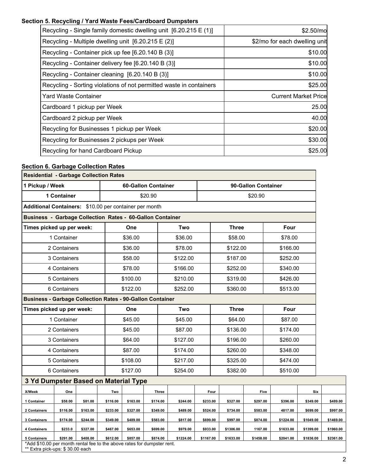# **Section 5. Recycling / Yard Waste Fees/Cardboard Dumpsters**

| Recycling - Single family domestic dwelling unit [6.20.215 E (1)]   | \$2.50/mo                     |
|---------------------------------------------------------------------|-------------------------------|
| Recycling - Multiple dwelling unit $[6.20.215 \text{ E } (2)]$      | \$2/mo for each dwelling unit |
| Recycling - Container pick up fee [6.20.140 B (3)]                  | \$10.00                       |
| Recycling - Container delivery fee [6.20.140 B (3)]                 | \$10.00                       |
| Recycling - Container cleaning [6.20.140 B (3)]                     | \$10.00                       |
| Recycling - Sorting violations of not permitted waste in containers | \$25.00                       |
| Yard Waste Container                                                | <b>Current Market Price</b>   |
| Cardboard 1 pickup per Week                                         | 25.00                         |
| Cardboard 2 pickup per Week                                         | 40.00                         |
| Recycling for Businesses 1 pickup per Week                          | \$20.00                       |
| Recycling for Businesses 2 pickups per Week                         | \$30.00                       |
| Recycling for hand Cardboard Pickup                                 | \$25.00                       |

# **Section 6. Garbage Collection Rates**

| <b>Residential - Garbage Collection Rates</b>                                                                              |              |          |          |                            |          |          |           |           |                     |              |           |          |           |           |           |
|----------------------------------------------------------------------------------------------------------------------------|--------------|----------|----------|----------------------------|----------|----------|-----------|-----------|---------------------|--------------|-----------|----------|-----------|-----------|-----------|
| 1 Pickup / Week                                                                                                            |              |          |          | <b>60-Gallon Container</b> |          |          |           |           | 90-Gallon Container |              |           |          |           |           |           |
|                                                                                                                            | 1 Container  |          |          |                            | \$20.90  |          |           |           |                     |              | \$20.90   |          |           |           |           |
| Additional Containers: \$10.00 per container per month                                                                     |              |          |          |                            |          |          |           |           |                     |              |           |          |           |           |           |
| <b>Business - Garbage Collection Rates - 60-Gallon Container</b>                                                           |              |          |          |                            |          |          |           |           |                     |              |           |          |           |           |           |
| Times picked up per week:                                                                                                  |              |          |          | One                        |          |          | Two       |           |                     | <b>Three</b> |           |          | Four      |           |           |
|                                                                                                                            | 1 Container  |          |          | \$36.00                    |          |          | \$36.00   |           |                     | \$58.00      |           |          | \$78.00   |           |           |
|                                                                                                                            | 2 Containers |          |          | \$36.00                    |          |          | \$78.00   |           |                     | \$122.00     |           |          | \$166.00  |           |           |
|                                                                                                                            | 3 Containers |          |          | \$58.00                    |          |          | \$122.00  |           |                     | \$187.00     |           |          | \$252.00  |           |           |
|                                                                                                                            | 4 Containers |          |          | \$78.00                    |          |          | \$166.00  |           |                     | \$252.00     |           |          | \$340.00  |           |           |
|                                                                                                                            | 5 Containers |          |          | \$100.00                   |          |          | \$210.00  |           |                     | \$319.00     |           |          | \$426.00  |           |           |
|                                                                                                                            | 6 Containers |          |          | \$122.00                   |          |          | \$252.00  |           |                     | \$360.00     |           |          | \$513.00  |           |           |
| <b>Business - Garbage Collection Rates - 90-Gallon Container</b>                                                           |              |          |          |                            |          |          |           |           |                     |              |           |          |           |           |           |
| Times picked up per week:                                                                                                  |              |          |          | One                        |          |          | Two       |           |                     | <b>Three</b> |           |          | Four      |           |           |
|                                                                                                                            | 1 Container  |          |          | \$45.00                    |          | \$45.00  |           | \$64.00   |                     | \$87.00      |           |          |           |           |           |
|                                                                                                                            | 2 Containers |          |          | \$45.00                    |          |          | \$87.00   | \$136.00  |                     |              | \$174.00  |          |           |           |           |
|                                                                                                                            | 3 Containers |          |          | \$64.00                    |          | \$127.00 |           |           | \$196.00            |              |           | \$260.00 |           |           |           |
|                                                                                                                            | 4 Containers |          |          | \$87.00                    |          |          | \$174.00  |           | \$260.00            |              |           | \$348.00 |           |           |           |
|                                                                                                                            | 5 Containers |          |          | \$108.00                   |          |          | \$217.00  |           | \$325.00            |              |           | \$474.00 |           |           |           |
|                                                                                                                            | 6 Containers |          |          | \$127.00                   |          |          | \$254.00  |           |                     | \$382.00     |           |          | \$510.00  |           |           |
| 3 Yd Dumpster Based on Material Type                                                                                       |              |          |          |                            |          |          |           |           |                     |              |           |          |           |           |           |
| X/Week                                                                                                                     | One          |          | Two      |                            |          | Three    |           |           | Four                |              | Five      |          |           | Six       |           |
| 1 Container                                                                                                                | \$58.00      | \$81.00  | \$116.00 | \$163.00                   | \$174.00 |          | \$244.00  | \$233.00  |                     | \$327.00     | \$297.00  |          | \$396.00  | \$349.00  | \$489.00  |
| 2 Containers                                                                                                               | \$116.00     | \$163.00 | \$233.00 | \$327.00                   | \$349.00 |          | \$489.00  | \$524.00  |                     | \$734.00     | \$583.00  |          | 4817.00   | \$699.00  | \$997.00  |
| 3 Containers                                                                                                               | \$174.00     | \$244.00 | \$349.00 | \$489.00                   | \$583.00 |          | \$817.00  | \$699.00  |                     | \$997.00     | \$874.00  |          | \$1224.00 | \$1049.00 | \$1469.00 |
| 4 Containers                                                                                                               | \$233.0      | \$327.00 | \$467.00 | \$653.00                   | \$699.00 |          | \$979.00  | \$933.00  |                     | \$1306.00    | 1167.00   |          | \$1633.00 | \$1399.00 | \$1960.00 |
| 5 Containers<br>*Add \$10.00 per month rental fee to the above rates for dumpster rent.<br>** Extra pick-ups: \$30.00 each | \$291.00     | \$408.00 | \$612.00 | \$857.00                   | \$874.00 |          | \$1224.00 | \$1167.00 |                     | \$1633.00    | \$1458.00 |          | \$2041.00 | \$1836.00 | \$2361.00 |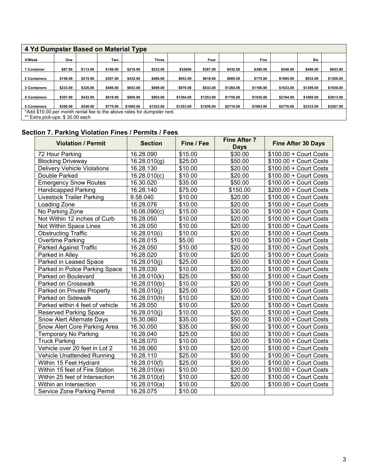| 4 Yd Dumpster Based on Material Type |                                                                         |          |          |           |              |           |           |           |           |           |           |           |
|--------------------------------------|-------------------------------------------------------------------------|----------|----------|-----------|--------------|-----------|-----------|-----------|-----------|-----------|-----------|-----------|
| <b>X/Week</b>                        | One                                                                     |          | Two      |           | <b>Three</b> |           | Four      |           | Five      |           | Six       |           |
| Container                            | \$87.00                                                                 | \$113.00 | \$156.00 | \$219.00  | \$233.00     | \$32600   | \$307.00  | \$432.00  | \$390.00  | \$546.00  | \$466.00  | \$653.00  |
| 2 Containers                         | \$156.00                                                                | \$219.00 | \$307.00 | \$432.00  | \$466.00     | \$653.00  | \$618.00  | \$865.00  | \$775.00  | \$1085.00 | \$933.00  | \$1306.00 |
| 3 Containers                         | \$233.00                                                                | \$326.00 | \$466.00 | \$653.00  | \$699.00     | \$979.00  | \$933.00  | \$1264.00 | \$1166.00 | \$1633.00 | \$1399.00 | \$1936.00 |
| <b>4 Containers</b>                  | \$307.00                                                                | \$432.00 | \$618.00 | \$865.00  | \$903.00     | \$1264.00 | \$1253.00 | \$1755.00 | \$1545.00 | \$2164.00 | \$1866.00 | \$2613.00 |
| 5 Containers                         | \$390.00                                                                | \$546.00 | \$775.00 | \$1085.00 | \$1253.00    | \$1253.00 | \$1936.00 | \$2710.00 | \$1983.00 | \$2776.00 | \$2333.00 | \$3267.00 |
|                                      | *Add \$10.00 per month rental fee to the above rates for dumpster rent. |          |          |           |              |           |           |           |           |           |           |           |
| ** Extra pick-ups: \$30.00 each      |                                                                         |          |          |           |              |           |           |           |           |           |           |           |

# **Section 7. Parking Violation Fines / Permits / Fees**

| <b>Violation / Permit</b>          | <b>Section</b> | Fine / Fee | <b>Fine After 7</b><br><b>Days</b> | <b>Fine After 30 Days</b> |
|------------------------------------|----------------|------------|------------------------------------|---------------------------|
| 72 Hour Parking                    | 16.28.090      | \$15.00    | \$30.00                            | $$100.00 +$ Court Costs   |
| <b>Blocking Driveway</b>           | 16.28.010(g)   | \$25.00    | \$50.00                            | \$100.00 + Court Costs    |
| <b>Delivery Vehicle Violations</b> | 16.28.130      | \$10.00    | \$20.00                            | $$100.00 +$ Court Costs   |
| Double Parked                      | 16.28.010(c)   | \$10.00    | \$20.00                            | $$100.00 +$ Court Costs   |
| <b>Emergency Snow Routes</b>       | 16.30.020      | \$35.00    | \$50.00                            | $$100.00 +$ Court Costs   |
| <b>Handicapped Parking</b>         | 16.28.140      | \$75.00    | \$150.00                           | \$200.00 + Court Costs    |
| <b>Livestock Trailer Parking</b>   | 9.58.040       | \$10.00    | \$20.00                            | $$100.00 +$ Court Costs   |
| Loading Zone                       | 16.28.076      | \$10.00    | \$20.00                            | $$100.00 +$ Court Costs   |
| No Parking Zone                    | 16.08.090(c)   | \$15.00    | \$30.00                            | \$100.00 + Court Costs    |
| Not Within 12 inches of Curb       | 16.28.050      | \$10.00    | \$20.00                            | \$100.00 + Court Costs    |
| Not Within Space Lines             | 16.28.050      | \$10.00    | \$20.00                            | $$100.00 +$ Court Costs   |
| <b>Obstructing Traffic</b>         | 16.28.010(i)   | \$10.00    | \$20.00                            | $$100.00 +$ Court Costs   |
| Overtime Parking                   | 16.28.015      | \$5.00     | \$10.00                            | \$100.00 + Court Costs    |
| <b>Parked Against Traffic</b>      | 16.28.050      | \$10.00    | \$20.00                            | \$100.00 + Court Costs    |
| Parked in Alley                    | 16.28.020      | \$10.00    | \$20.00                            | \$100.00 + Court Costs    |
| Parked in Leased Space             | 16.28.010(j)   | \$25.00    | \$50.00                            | \$100.00 + Court Costs    |
| Parked in Police Parking Space     | 16.28.030      | \$10.00    | \$20.00                            | $$100.00 +$ Court Costs   |
| Parked on Boulevard                | 16.28.010(k)   | \$25.00    | \$50.00                            | $$100.00 +$ Court Costs   |
| Parked on Crosswalk                | 16.28.010(b)   | \$10.00    | \$20.00                            | $$100.00 +$ Court Costs   |
| Parked on Private Property         | 16.28.010(j)   | \$25.00    | \$50.00                            | $$100.00 +$ Court Costs   |
| Parked on Sidewalk                 | 16.28.010(h)   | \$10.00    | \$20.00                            | $$100.00 +$ Court Costs   |
| Parked within 4 feet of vehicle    | 16.28.050      | \$10.00    | \$20.00                            | $$100.00 +$ Court Costs   |
| <b>Reserved Parking Space</b>      | 16.28.010(j)   | \$10.00    | \$20.00                            | \$100.00 + Court Costs    |
| <b>Snow Alert Alternate Days</b>   | 16.30.060      | \$35.00    | \$50.00                            | $$100.00 +$ Court Costs   |
| Snow Alert Core Parking Area       | 16.30.050      | \$35.00    | \$50.00                            | $$100.00 +$ Court Costs   |
| <b>Temporary No Parking</b>        | 16.28.040      | \$25.00    | \$50.00                            | \$100.00 + Court Costs    |
| <b>Truck Parking</b>               | 16.28.070      | \$10.00    | \$20.00                            | \$100.00 + Court Costs    |
| Vehicle over 20 feet in Lot 2      | 16.28.060      | \$10.00    | \$20.00                            | \$100.00 + Court Costs    |
| Vehicle Unattended Running         | 16.28.110      | \$25.00    | \$50.00                            | \$100.00 + Court Costs    |
| Within 15 Feet Hydrant             | 16.28.010(f)   | \$25.00    | \$50.00                            | $$100.00 +$ Court Costs   |
| Within 15 feet of Fire Station     | 16.28.010(e)   | \$10.00    | \$20.00                            | $$100.00 +$ Court Costs   |
| Within 25 feet of Intersection     | 16.28.010(d)   | \$10.00    | \$20.00                            | $$100.00 +$ Court Costs   |
| Within an Intersection             | 16.28.010(a)   | \$10.00    | \$20.00                            | \$100.00 + Court Costs    |
| Service Zone Parking Permit        | 16.28.075      | \$10.00    |                                    |                           |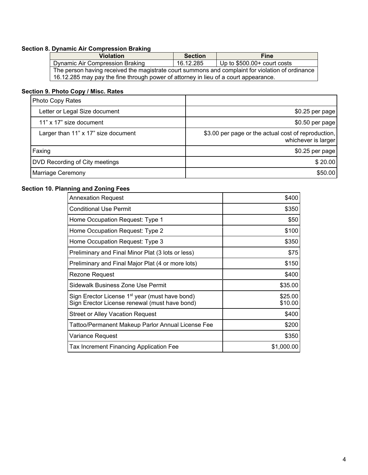# **Section 8. Dynamic Air Compression Braking**

| <b>Violation</b>                                                                                 | <b>Section</b> | <b>Fine</b>                  |  |  |  |
|--------------------------------------------------------------------------------------------------|----------------|------------------------------|--|--|--|
| Dynamic Air Compression Braking                                                                  | 16.12.285      | Up to $$500.00+$ court costs |  |  |  |
| The person having received the magistrate court summons and complaint for violation of ordinance |                |                              |  |  |  |
| 16.12.285 may pay the fine through power of attorney in lieu of a court appearance.              |                |                              |  |  |  |

## **Section 9. Photo Copy / Misc. Rates**

| Photo Copy Rates                    |                                                                            |
|-------------------------------------|----------------------------------------------------------------------------|
| Letter or Legal Size document       | \$0.25 per page                                                            |
| 11" x 17" size document             | $$0.50$ per page                                                           |
| Larger than 11" x 17" size document | \$3.00 per page or the actual cost of reproduction,<br>whichever is larger |
| Faxing                              | \$0.25 per page                                                            |
| DVD Recording of City meetings      | \$20.00                                                                    |
| Marriage Ceremony                   | \$50.00                                                                    |

## **Section 10. Planning and Zoning Fees**

| <b>Annexation Request</b>                                                                                   | \$400              |
|-------------------------------------------------------------------------------------------------------------|--------------------|
| <b>Conditional Use Permit</b>                                                                               | \$350              |
| Home Occupation Request: Type 1                                                                             | \$50               |
| Home Occupation Request: Type 2                                                                             | \$100              |
| Home Occupation Request: Type 3                                                                             | \$350              |
| Preliminary and Final Minor Plat (3 lots or less)                                                           | \$75               |
| Preliminary and Final Major Plat (4 or more lots)                                                           | \$150              |
| Rezone Request                                                                                              | \$400              |
| Sidewalk Business Zone Use Permit                                                                           | \$35.00            |
| Sign Erector License 1 <sup>st</sup> year (must have bond)<br>Sign Erector License renewal (must have bond) | \$25.00<br>\$10.00 |
| <b>Street or Alley Vacation Request</b>                                                                     | \$400              |
| Tattoo/Permanent Makeup Parlor Annual License Fee                                                           | \$200              |
| Variance Request                                                                                            | \$350              |
| <b>Tax Increment Financing Application Fee</b>                                                              | \$1,000.00         |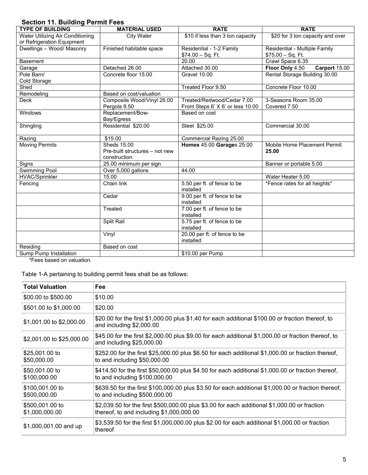# **Section 11. Building Permit Fees**

| 0000000 TH. Dununiy Formit F609<br><b>TYPE OF BUILDING</b> | <b>MATERIAL USED</b>                           | <b>RATE</b>                       | <b>RATE</b>                      |
|------------------------------------------------------------|------------------------------------------------|-----------------------------------|----------------------------------|
| <b>Water Utilizing Air Conditioning</b>                    | <b>City Water</b>                              | \$10 if less than 3 ton capacity  | \$20 for 3 ton capacity and over |
| or Refrigeration Equipment                                 |                                                |                                   |                                  |
| Dwellings - Wood/ Masonry                                  | Finished habitable space                       | Residential - 1-2 Family          | Residential - Multiple Family    |
|                                                            |                                                | $$74.00 - Sq. Ft.$                | $$75.00 - Sq. Ft.$               |
| <b>Basement</b>                                            |                                                | 20.00                             | Crawl Space 6.35                 |
| Garage                                                     | Detached 26.00                                 | Attached 30.00                    | Floor Only 4.50<br>Carport 15.00 |
| Pole Barn/                                                 | Concrete floor 15.00                           | Gravel 10.00                      | Rental Storage Building 30.00    |
| Cold Storage                                               |                                                |                                   |                                  |
| Shed                                                       |                                                | Treated Floor 9.50                | Concrete Floor 10.00             |
| Remodeling                                                 | Based on cost/valuation                        |                                   |                                  |
| <b>Deck</b>                                                | Composite Wood/Vinyl 26.00                     | Treated/Redwood/Cedar 7.00        | 3-Seasons Room 35.00             |
|                                                            | Pergola 9.50                                   | Front Steps 6' X 6' or less 10.00 | Covered 7.50                     |
| Windows                                                    | Replacement/Bow-                               | Based on cost                     |                                  |
|                                                            | Bay/Egress                                     |                                   |                                  |
| Shingling                                                  | Residential \$20.00                            | Steel \$25.00                     | Commercial 30.00                 |
| Razing                                                     | \$15.00                                        | Commercial Razing 25.00           |                                  |
| <b>Moving Permits</b>                                      | Sheds 15.00                                    | Homes 45.00 Garages 25.00         | Mobile Home Placement Permit     |
|                                                            | Pre-built structures - not new<br>construction |                                   | 25.00                            |
| Signs                                                      | 25.00 minimum per sign                         |                                   | Banner or portable 5.00          |
| Swimming Pool                                              | Over 5,000 gallons                             | 44.00                             |                                  |
| <b>HVAC/Sprinkler</b>                                      | 15.00                                          |                                   | Water Heater 5.00                |
| Fencing                                                    | Chain link                                     | 5.50 per ft. of fence to be       | *Fence rates for all heights*    |
|                                                            |                                                | installed                         |                                  |
|                                                            | Cedar                                          | 9.00 per ft. of fence to be       |                                  |
|                                                            |                                                | installed                         |                                  |
|                                                            | Treated                                        | 7.00 per ft. of fence to be       |                                  |
|                                                            |                                                | installed                         |                                  |
|                                                            | Split Rail                                     | 5.75 per ft. of fence to be       |                                  |
|                                                            |                                                | installed                         |                                  |
|                                                            | Vinyl                                          | 20.00 per ft. of fence to be      |                                  |
|                                                            |                                                | installed                         |                                  |
| Residing                                                   | Based on cost                                  |                                   |                                  |
| Sump Pump Installation                                     |                                                | \$10.00 per Pump                  |                                  |

\*Fees based on valuation.

Table 1-A pertaining to building permit fees shall be as follows:

| <b>Total Valuation</b>            | <b>Fee</b>                                                                                                                                |
|-----------------------------------|-------------------------------------------------------------------------------------------------------------------------------------------|
| \$00.00 to \$500.00               | \$10.00                                                                                                                                   |
| \$501.00 to \$1,000.00            | \$20.00                                                                                                                                   |
| \$1,001.00 to \$2,000.00          | \$20.00 for the first \$1,000.00 plus \$1.40 for each additional \$100.00 or fraction thereof, to<br>and including \$2,000.00             |
| \$2,001.00 to \$25,000.00         | \$45.00 for the first \$2,000.00 plus \$9.00 for each additional \$1,000.00 or fraction thereof, to<br>and including \$25,000.00          |
| \$25,001.00 to<br>\$50,000.00     | \$252.00 for the first \$25,000.00 plus \$6.50 for each additional \$1,000.00 or fraction thereof,<br>to and including $$50,000.00$       |
| \$50,001.00 to<br>\$100,000.00    | $$414.50$ for the first \$50,000.00 plus \$4.50 for each additional \$1,000.00 or fraction thereof,<br>to and including $$100,000.00$     |
| \$100,001.00 to<br>\$500,000.00   | \$639.50 for the first \$100,000.00 plus \$3.50 for each additional \$1,000.00 or fraction thereof,<br>to and including $$500,000.00$     |
| \$500,001.00 to<br>\$1,000,000.00 | \$2,039.50 for the first \$500,000.00 plus \$3.00 for each additional \$1,000.00 or fraction<br>thereof, to and including $$1,000,000.00$ |
| \$1,000,001.00 and up             | \$3,539.50 for the first \$1,000,000.00 plus \$2.00 for each additional \$1,000.00 or fraction<br>thereof                                 |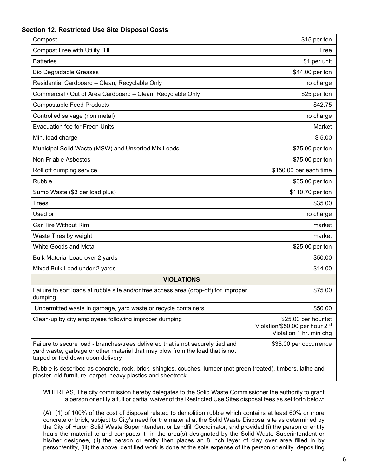## **Section 12. Restricted Use Site Disposal Costs**

| Compost                                                                                                                                                                                               | \$15 per ton                                                                                 |
|-------------------------------------------------------------------------------------------------------------------------------------------------------------------------------------------------------|----------------------------------------------------------------------------------------------|
| <b>Compost Free with Utility Bill</b>                                                                                                                                                                 | Free                                                                                         |
| <b>Batteries</b>                                                                                                                                                                                      | \$1 per unit                                                                                 |
| <b>Bio Degradable Greases</b>                                                                                                                                                                         | \$44.00 per ton                                                                              |
| Residential Cardboard - Clean, Recyclable Only                                                                                                                                                        | no charge                                                                                    |
| Commercial / Out of Area Cardboard - Clean, Recyclable Only                                                                                                                                           | \$25 per ton                                                                                 |
| <b>Compostable Feed Products</b>                                                                                                                                                                      | \$42.75                                                                                      |
| Controlled salvage (non metal)                                                                                                                                                                        | no charge                                                                                    |
| <b>Evacuation fee for Freon Units</b>                                                                                                                                                                 | Market                                                                                       |
| Min. load charge                                                                                                                                                                                      | \$5.00                                                                                       |
| Municipal Solid Waste (MSW) and Unsorted Mix Loads                                                                                                                                                    | \$75.00 per ton                                                                              |
| Non Friable Asbestos                                                                                                                                                                                  | \$75.00 per ton                                                                              |
| Roll off dumping service                                                                                                                                                                              | \$150.00 per each time                                                                       |
| Rubble                                                                                                                                                                                                | \$35.00 per ton                                                                              |
| Sump Waste (\$3 per load plus)                                                                                                                                                                        | \$110.70 per ton                                                                             |
| <b>Trees</b>                                                                                                                                                                                          | \$35.00                                                                                      |
| Used oil                                                                                                                                                                                              | no charge                                                                                    |
| <b>Car Tire Without Rim</b>                                                                                                                                                                           | market                                                                                       |
| Waste Tires by weight                                                                                                                                                                                 | market                                                                                       |
| <b>White Goods and Metal</b>                                                                                                                                                                          | \$25.00 per ton                                                                              |
| Bulk Material Load over 2 yards                                                                                                                                                                       | \$50.00                                                                                      |
| Mixed Bulk Load under 2 yards                                                                                                                                                                         | \$14.00                                                                                      |
| <b>VIOLATIONS</b>                                                                                                                                                                                     |                                                                                              |
| Failure to sort loads at rubble site and/or free access area (drop-off) for improper<br>dumping                                                                                                       | \$75.00                                                                                      |
| Unpermitted waste in garbage, yard waste or recycle containers.                                                                                                                                       | \$50.00                                                                                      |
| Clean-up by city employees following improper dumping                                                                                                                                                 | \$25.00 per hour1st<br>Violation/\$50.00 per hour 2 <sup>nd</sup><br>Violation 1 hr. min chg |
| Failure to secure load - branches/trees delivered that is not securely tied and<br>yard waste, garbage or other material that may blow from the load that is not<br>tarped or tied down upon delivery | \$35.00 per occurrence                                                                       |
| Rubble is described as concrete, rock, brick, shingles, couches, lumber (not green treated), timbers, lathe and<br>plaster, old furniture, carpet, heavy plastics and sheetrock                       |                                                                                              |

WHEREAS, The city commission hereby delegates to the Solid Waste Commissioner the authority to grant a person or entity a full or partial waiver of the Restricted Use Sites disposal fees as set forth below:

(A) (1) of 100% of the cost of disposal related to demolition rubble which contains at least 60% or more concrete or brick, subject to City's need for the material at the Solid Waste Disposal site as determined by the City of Huron Solid Waste Superintendent or Landfill Coordinator, and provided (i) the person or entity hauls the material to and compacts it in the area(s) designated by the Solid Waste Superintendent or his/her designee, (ii) the person or entity then places an 8 inch layer of clay over area filled in by person/entity, (iii) the above identified work is done at the sole expense of the person or entity depositing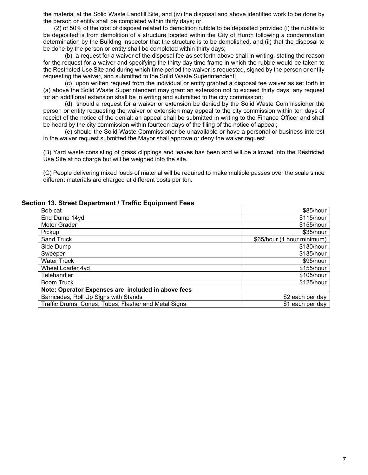the material at the Solid Waste Landfill Site, and (iv) the disposal and above identified work to be done by the person or entity shall be completed within thirty days; or

(2) of 50% of the cost of disposal related to demolition rubble to be deposited provided (i) the rubble to be deposited is from demolition of a structure located within the City of Huron following a condemnation determination by the Building Inspector that the structure is to be demolished, and (ii) that the disposal to be done by the person or entity shall be completed within thirty days;

(b) a request for a waiver of the disposal fee as set forth above shall in writing, stating the reason for the request for a waiver and specifying the thirty day time frame in which the rubble would be taken to the Restricted Use Site and during which time period the waiver is requested, signed by the person or entity requesting the waiver, and submitted to the Solid Waste Superintendent;

 (c) upon written request from the individual or entity granted a disposal fee waiver as set forth in (a) above the Solid Waste Superintendent may grant an extension not to exceed thirty days; any request for an additional extension shall be in writing and submitted to the city commission;

(d) should a request for a waiver or extension be denied by the Solid Waste Commissioner the person or entity requesting the waiver or extension may appeal to the city commission within ten days of receipt of the notice of the denial; an appeal shall be submitted in writing to the Finance Officer and shall be heard by the city commission within fourteen days of the filing of the notice of appeal;

(e) should the Solid Waste Commissioner be unavailable or have a personal or business interest in the waiver request submitted the Mayor shall approve or deny the waiver request.

(B) Yard waste consisting of grass clippings and leaves has been and will be allowed into the Restricted Use Site at no charge but will be weighed into the site.

(C) People delivering mixed loads of material will be required to make multiple passes over the scale since different materials are charged at different costs per ton.

#### **Section 13. Street Department / Traffic Equipment Fees**

| Bob cat                                              | \$85/hour                  |
|------------------------------------------------------|----------------------------|
| End Dump 14yd                                        | \$115/hour                 |
| Motor Grader                                         | \$155/hour                 |
| Pickup                                               | \$35/hour                  |
| Sand Truck                                           | \$65/hour (1 hour minimum) |
| Side Dump                                            | \$130/hour                 |
| Sweeper                                              | \$135/hour                 |
| <b>Water Truck</b>                                   | \$95/hour                  |
| Wheel Loader 4yd                                     | \$155/hour                 |
| Telehandler                                          | \$105/hour                 |
| <b>Boom Truck</b>                                    | \$125/hour                 |
| Note: Operator Expenses are included in above fees   |                            |
| Barricades, Roll Up Signs with Stands                | \$2 each per day           |
| Traffic Drums, Cones, Tubes, Flasher and Metal Signs | \$1 each per day           |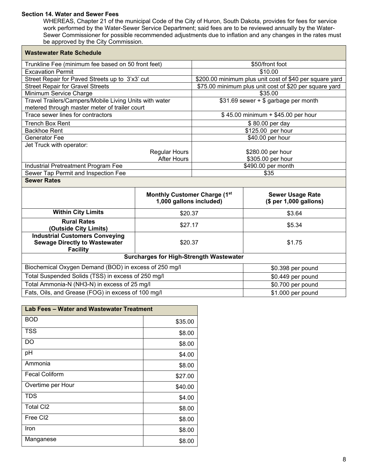#### **Section 14. Water and Sewer Fees**

Г

WHEREAS, Chapter 21 of the municipal Code of the City of Huron, South Dakota, provides for fees for service work performed by the Water-Sewer Service Department; said fees are to be reviewed annually by the Water-Sewer Commissioner for possible recommended adjustments due to inflation and any changes in the rates must be approved by the City Commission.

| <b>Wastewater Rate Schedule</b>                                                                  |                                                         |                                                         |                                                   |  |
|--------------------------------------------------------------------------------------------------|---------------------------------------------------------|---------------------------------------------------------|---------------------------------------------------|--|
| Trunkline Fee (minimum fee based on 50 front feet)                                               |                                                         | \$50/front foot                                         |                                                   |  |
| <b>Excavation Permit</b>                                                                         |                                                         | \$10.00                                                 |                                                   |  |
| Street Repair for Paved Streets up to 3'x3' cut                                                  |                                                         | \$200.00 minimum plus unit cost of \$40 per square yard |                                                   |  |
| <b>Street Repair for Gravel Streets</b>                                                          |                                                         | \$75.00 minimum plus unit cost of \$20 per square yard  |                                                   |  |
| Minimum Service Charge                                                                           |                                                         | \$35.00                                                 |                                                   |  |
| Travel Trailers/Campers/Mobile Living Units with water                                           |                                                         |                                                         | \$31.69 sewer + \$ garbage per month              |  |
| metered through master meter of trailer court                                                    |                                                         |                                                         |                                                   |  |
| Trace sewer lines for contractors                                                                |                                                         |                                                         | \$45.00 minimum + \$45.00 per hour                |  |
| <b>Trench Box Rent</b>                                                                           |                                                         |                                                         | \$80.00 per day                                   |  |
| <b>Backhoe Rent</b>                                                                              |                                                         |                                                         | \$125.00 per hour                                 |  |
| Generator Fee                                                                                    |                                                         |                                                         | \$40.00 per hour                                  |  |
| Jet Truck with operator:                                                                         |                                                         |                                                         |                                                   |  |
|                                                                                                  | <b>Regular Hours</b>                                    | \$280.00 per hour                                       |                                                   |  |
|                                                                                                  | <b>After Hours</b>                                      | \$305.00 per hour<br>\$490.00 per month                 |                                                   |  |
| Industrial Pretreatment Program Fee<br>Sewer Tap Permit and Inspection Fee                       |                                                         | \$35                                                    |                                                   |  |
| <b>Sewer Rates</b>                                                                               |                                                         |                                                         |                                                   |  |
|                                                                                                  |                                                         |                                                         |                                                   |  |
|                                                                                                  | Monthly Customer Charge (1st<br>1,000 gallons included) |                                                         | <b>Sewer Usage Rate</b><br>(\$ per 1,000 gallons) |  |
| <b>Within City Limits</b>                                                                        | \$20.37                                                 |                                                         | \$3.64                                            |  |
| <b>Rural Rates</b><br>(Outside City Limits)                                                      | \$27.17                                                 |                                                         | \$5.34                                            |  |
| <b>Industrial Customers Conveying</b><br><b>Sewage Directly to Wastewater</b><br><b>Facility</b> | \$20.37                                                 |                                                         | \$1.75                                            |  |
|                                                                                                  | <b>Surcharges for High-Strength Wastewater</b>          |                                                         |                                                   |  |
| Biochemical Oxygen Demand (BOD) in excess of 250 mg/l                                            |                                                         |                                                         | \$0.398 per pound                                 |  |
| Total Suspended Solids (TSS) in excess of 250 mg/l                                               |                                                         |                                                         | \$0.449 per pound                                 |  |
| Total Ammonia-N (NH3-N) in excess of 25 mg/l                                                     |                                                         |                                                         | \$0.700 per pound                                 |  |
| Fats, Oils, and Grease (FOG) in excess of 100 mg/l                                               |                                                         |                                                         | \$1.000 per pound                                 |  |

| <b>Lab Fees - Water and Wastewater Treatment</b> |         |
|--------------------------------------------------|---------|
| BOD                                              | \$35.00 |
| <b>TSS</b>                                       | \$8.00  |
| DO                                               | \$8.00  |
| pH                                               | \$4.00  |
| Ammonia                                          | \$8.00  |
| <b>Fecal Coliform</b>                            | \$27.00 |
| Overtime per Hour                                | \$40.00 |
| <b>TDS</b>                                       | \$4.00  |
| <b>Total CI2</b>                                 | \$8.00  |
| Free CI2                                         | \$8.00  |
| Iron                                             | \$8.00  |
| Manganese                                        | \$8.00  |

٦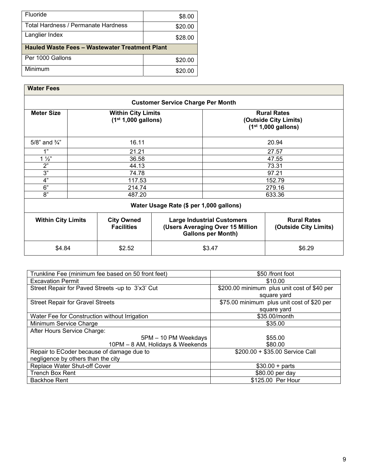| Fluoride                                              | \$8.00  |  |  |
|-------------------------------------------------------|---------|--|--|
| Total Hardness / Permanate Hardness                   | \$20.00 |  |  |
| Langlier Index                                        | \$28.00 |  |  |
| <b>Hauled Waste Fees - Wastewater Treatment Plant</b> |         |  |  |
|                                                       |         |  |  |
| Per 1000 Gallons                                      | \$20.00 |  |  |

| <b>Water Fees</b>         |       |                                                    |                                          |                                                                                                    |                                                                      |  |
|---------------------------|-------|----------------------------------------------------|------------------------------------------|----------------------------------------------------------------------------------------------------|----------------------------------------------------------------------|--|
|                           |       |                                                    | <b>Customer Service Charge Per Month</b> |                                                                                                    |                                                                      |  |
| <b>Meter Size</b>         |       | <b>Within City Limits</b><br>$(1st 1,000$ gallons) |                                          |                                                                                                    | <b>Rural Rates</b><br>(Outside City Limits)<br>$(1st 1,000$ gallons) |  |
| 5/8" and 3/4"             |       | 16.11                                              |                                          |                                                                                                    | 20.94                                                                |  |
| 1"                        |       | 21.21                                              |                                          |                                                                                                    | 27.57                                                                |  |
| $1\frac{1}{2}$            |       | 36.58                                              |                                          |                                                                                                    | 47.55                                                                |  |
| 2"                        | 44.13 |                                                    |                                          |                                                                                                    | 73.31                                                                |  |
| 3"                        | 74.78 |                                                    |                                          |                                                                                                    | 97.21                                                                |  |
| 4"                        |       | 117.53                                             |                                          |                                                                                                    | 152.79                                                               |  |
| 6"                        |       | 214.74                                             |                                          |                                                                                                    | 279.16                                                               |  |
| 8"                        |       | 487.20                                             |                                          |                                                                                                    | 633.36                                                               |  |
|                           |       |                                                    | Water Usage Rate (\$ per 1,000 gallons)  |                                                                                                    |                                                                      |  |
| <b>Within City Limits</b> |       | <b>City Owned</b><br><b>Facilities</b>             |                                          | <b>Large Industrial Customers</b><br>(Users Averaging Over 15 Million<br><b>Gallons per Month)</b> | <b>Rural Rates</b><br>(Outside City Limits)                          |  |
| \$4.84                    |       | \$2.52                                             |                                          | \$3.47                                                                                             | \$6.29                                                               |  |

| Trunkline Fee (minimum fee based on 50 front feet) | \$50 /front foot                            |  |  |
|----------------------------------------------------|---------------------------------------------|--|--|
| <b>Excavation Permit</b>                           | \$10.00                                     |  |  |
| Street Repair for Paved Streets -up to 3'x3' Cut   | \$200.00 minimum plus unit cost of \$40 per |  |  |
|                                                    | square yard                                 |  |  |
| <b>Street Repair for Gravel Streets</b>            | \$75.00 minimum plus unit cost of \$20 per  |  |  |
|                                                    | square yard                                 |  |  |
| Water Fee for Construction without Irrigation      | \$35.00/month                               |  |  |
| Minimum Service Charge                             | \$35.00                                     |  |  |
| After Hours Service Charge:                        |                                             |  |  |
| 5PM - 10 PM Weekdays                               | \$55.00                                     |  |  |
| 10PM - 8 AM, Holidays & Weekends                   | \$80.00                                     |  |  |
| Repair to ECoder because of damage due to          | \$200.00 + \$35.00 Service Call             |  |  |
| negligence by others than the city                 |                                             |  |  |
| Replace Water Shut-off Cover                       | $$30.00 + parts$                            |  |  |
| <b>Trench Box Rent</b>                             | \$80.00 per day                             |  |  |
| <b>Backhoe Rent</b>                                | \$125.00 Per Hour                           |  |  |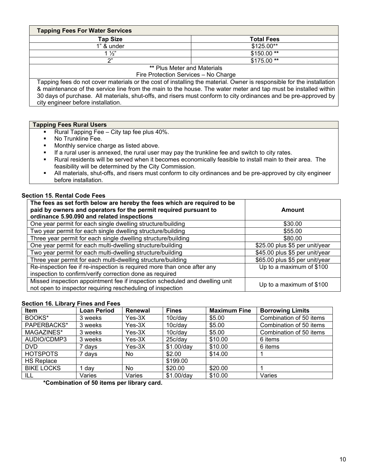| <b>Tapping Fees For Water Services</b> |                   |  |  |
|----------------------------------------|-------------------|--|--|
| <b>Tap Size</b>                        | <b>Total Fees</b> |  |  |
| 1" & under                             | \$125.00**        |  |  |
| $1\frac{1}{2}$                         | $$150.00**$       |  |  |
| n"                                     | $$175.00**$       |  |  |
| <b>** Plus Meter and Materials</b>     |                   |  |  |

Fire Protection Services – No Charge

Tapping fees do not cover materials or the cost of installing the material. Owner is responsible for the installation & maintenance of the service line from the main to the house. The water meter and tap must be installed within 30 days of purchase. All materials, shut-offs, and risers must conform to city ordinances and be pre-approved by city engineer before installation.

#### **Tapping Fees Rural Users**

- Rural Tapping Fee City tap fee plus 40%.
- No Trunkline Fee.
- **Monthly service charge as listed above.**
- **If a rural user is annexed, the rural user may pay the trunkline fee and switch to city rates.**
- Rural residents will be served when it becomes economically feasible to install main to their area. The feasibility will be determined by the City Commission.
- All materials, shut-offs, and risers must conform to city ordinances and be pre-approved by city engineer before installation.

#### **Section 15. Rental Code Fees**

| The fees as set forth below are hereby the fees which are required to be<br>paid by owners and operators for the permit required pursuant to<br>ordinance 5.90.090 and related inspections | Amount                         |
|--------------------------------------------------------------------------------------------------------------------------------------------------------------------------------------------|--------------------------------|
| One year permit for each single dwelling structure/building                                                                                                                                | \$30.00                        |
| Two year permit for each single dwelling structure/building                                                                                                                                | \$55.00                        |
| Three year permit for each single dwelling structure/building                                                                                                                              | \$80.00                        |
| One year permit for each multi-dwelling structure/building                                                                                                                                 | \$25.00 plus \$5 per unit/year |
| Two year permit for each multi-dwelling structure/building                                                                                                                                 | \$45.00 plus \$5 per unit/year |
| Three year permit for each multi-dwelling structure/building                                                                                                                               | \$65.00 plus \$5 per unit/year |
| Re-inspection fee if re-inspection is required more than once after any<br>inspection to confirm/verify correction done as required                                                        | Up to a maximum of \$100       |
| Missed inspection appointment fee if inspection scheduled and dwelling unit<br>not open to inspector requiring rescheduling of inspection                                                  | Up to a maximum of \$100       |

#### **Section 16. Library Fines and Fees**

| <b>Item</b>       | <b>Loan Period</b> | Renewal  | <b>Fines</b> | <b>Maximum Fine</b> | <b>Borrowing Limits</b> |
|-------------------|--------------------|----------|--------------|---------------------|-------------------------|
| BOOKS*            | 3 weeks            | $Yes-3X$ | 10c/day      | \$5.00              | Combination of 50 items |
| PAPERBACKS*       | 3 weeks            | $Yes-3X$ | 10c/dav      | \$5.00              | Combination of 50 items |
| MAGAZINES*        | 3 weeks            | $Yes-3X$ | 10c/day      | \$5.00              | Combination of 50 items |
| AUDIO/CDMP3       | 3 weeks            | $Yes-3X$ | 25c/day      | \$10.00             | 6 items                 |
| DVD.              | 7 days             | $Yes-3X$ | \$1.00/day   | \$10.00             | 6 items                 |
| <b>HOTSPOTS</b>   | 7 days             | No.      | \$2.00       | \$14.00             |                         |
| <b>HS Replace</b> |                    |          | \$199.00     |                     |                         |
| <b>BIKE LOCKS</b> | dav                | No.      | \$20.00      | \$20.00             |                         |
| ILL               | Varies             | Varies   | \$1.00/day   | \$10.00             | Varies                  |

**\*Combination of 50 items per library card.**